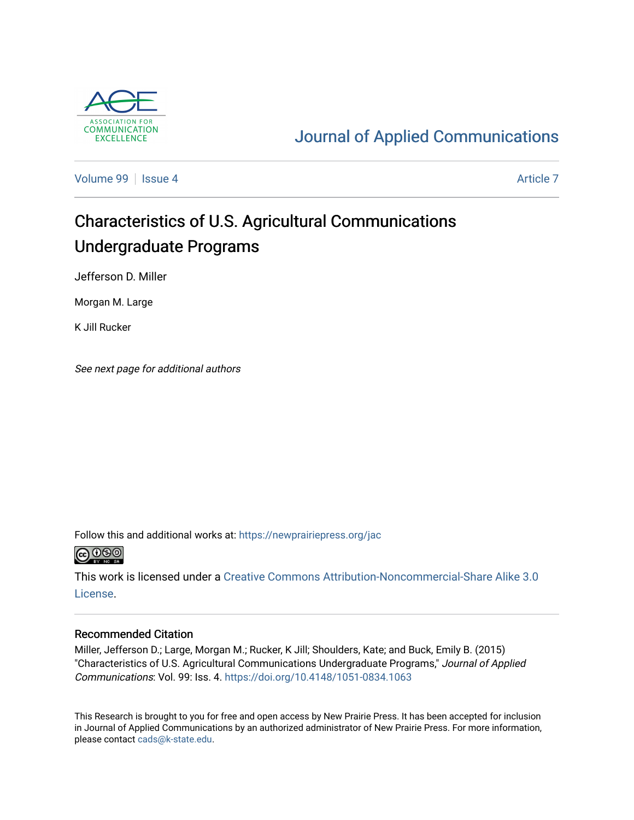

# [Journal of Applied Communications](https://newprairiepress.org/jac)

[Volume 99](https://newprairiepress.org/jac/vol99) | [Issue 4](https://newprairiepress.org/jac/vol99/iss4) Article 7

# Characteristics of U.S. Agricultural Communications Undergraduate Programs

Jefferson D. Miller

Morgan M. Large

K Jill Rucker

See next page for additional authors

Follow this and additional works at: [https://newprairiepress.org/jac](https://newprairiepress.org/jac?utm_source=newprairiepress.org%2Fjac%2Fvol99%2Fiss4%2F7&utm_medium=PDF&utm_campaign=PDFCoverPages)



This work is licensed under a [Creative Commons Attribution-Noncommercial-Share Alike 3.0](https://creativecommons.org/licenses/by-nc-sa/3.0/) [License.](https://creativecommons.org/licenses/by-nc-sa/3.0/)

#### Recommended Citation

Miller, Jefferson D.; Large, Morgan M.; Rucker, K Jill; Shoulders, Kate; and Buck, Emily B. (2015) "Characteristics of U.S. Agricultural Communications Undergraduate Programs," Journal of Applied Communications: Vol. 99: Iss. 4.<https://doi.org/10.4148/1051-0834.1063>

This Research is brought to you for free and open access by New Prairie Press. It has been accepted for inclusion in Journal of Applied Communications by an authorized administrator of New Prairie Press. For more information, please contact [cads@k-state.edu.](mailto:cads@k-state.edu)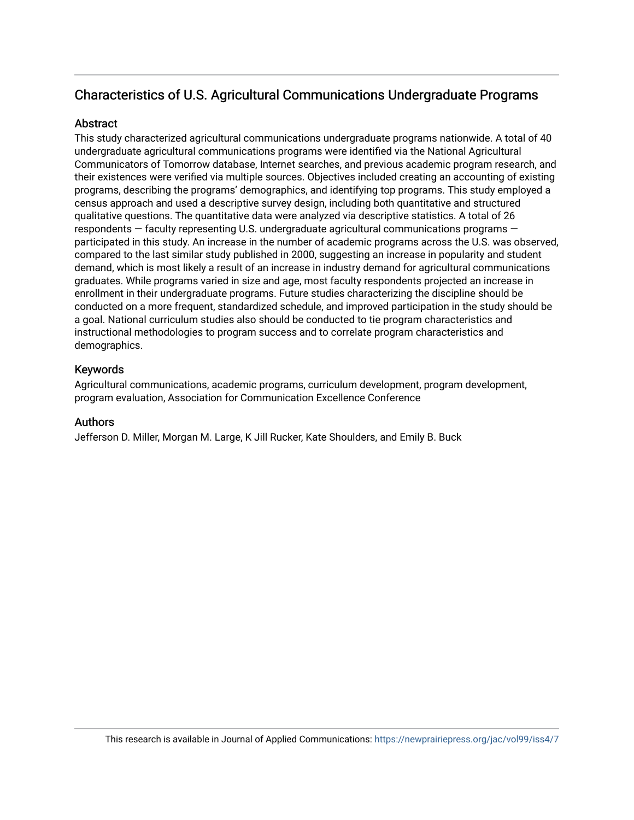# Characteristics of U.S. Agricultural Communications Undergraduate Programs

#### **Abstract**

This study characterized agricultural communications undergraduate programs nationwide. A total of 40 undergraduate agricultural communications programs were identified via the National Agricultural Communicators of Tomorrow database, Internet searches, and previous academic program research, and their existences were verified via multiple sources. Objectives included creating an accounting of existing programs, describing the programs' demographics, and identifying top programs. This study employed a census approach and used a descriptive survey design, including both quantitative and structured qualitative questions. The quantitative data were analyzed via descriptive statistics. A total of 26 respondents — faculty representing U.S. undergraduate agricultural communications programs participated in this study. An increase in the number of academic programs across the U.S. was observed, compared to the last similar study published in 2000, suggesting an increase in popularity and student demand, which is most likely a result of an increase in industry demand for agricultural communications graduates. While programs varied in size and age, most faculty respondents projected an increase in enrollment in their undergraduate programs. Future studies characterizing the discipline should be conducted on a more frequent, standardized schedule, and improved participation in the study should be a goal. National curriculum studies also should be conducted to tie program characteristics and instructional methodologies to program success and to correlate program characteristics and demographics.

#### Keywords

Agricultural communications, academic programs, curriculum development, program development, program evaluation, Association for Communication Excellence Conference

#### Authors

Jefferson D. Miller, Morgan M. Large, K Jill Rucker, Kate Shoulders, and Emily B. Buck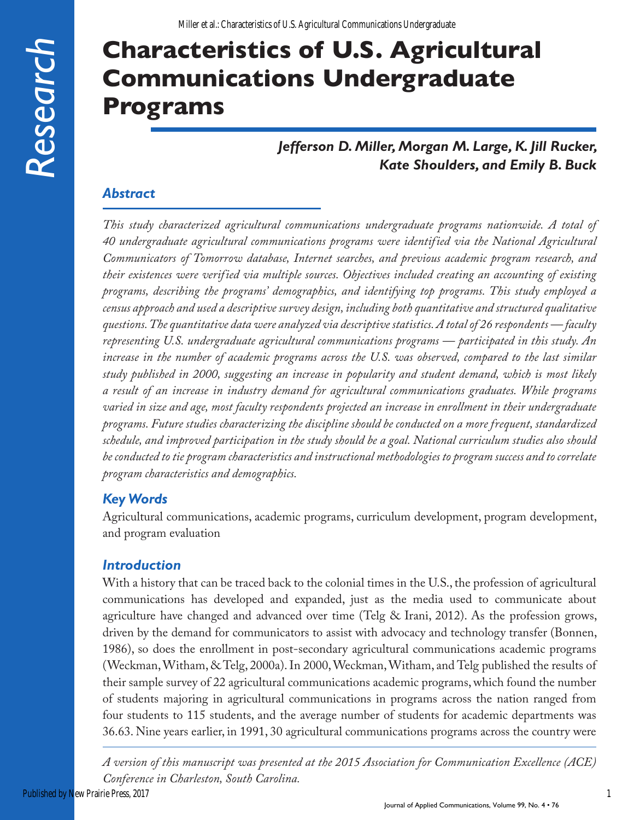# **Characteristics of U.S. Agricultural Communications Undergraduate Programs**

# *Jefferson D. Miller, Morgan M. Large, K. Jill Rucker, Kate Shoulders, and Emily B. Buck*

# *Abstract*

*This study characterized agricultural communications undergraduate programs nationwide. A total of 40 undergraduate agricultural communications programs were identified via the National Agricultural Communicators of Tomorrow database, Internet searches, and previous academic program research, and their existences were verified via multiple sources. Objectives included creating an accounting of existing programs, describing the programs' demographics, and identifying top programs. This study employed a census approach and used a descriptive survey design, including both quantitative and structured qualitative questions. The quantitative data were analyzed via descriptive statistics. A total of 26 respondents — faculty representing U.S. undergraduate agricultural communications programs — participated in this study. An increase in the number of academic programs across the U.S. was observed, compared to the last similar study published in 2000, suggesting an increase in popularity and student demand, which is most likely a result of an increase in industry demand for agricultural communications graduates. While programs varied in size and age, most faculty respondents projected an increase in enrollment in their undergraduate programs. Future studies characterizing the discipline should be conducted on a more frequent, standardized schedule, and improved participation in the study should be a goal. National curriculum studies also should be conducted to tie program characteristics and instructional methodologies to program success and to correlate program characteristics and demographics.* 

# *Key Words*

Agricultural communications, academic programs, curriculum development, program development, and program evaluation

# *Introduction*

With a history that can be traced back to the colonial times in the U.S., the profession of agricultural communications has developed and expanded, just as the media used to communicate about agriculture have changed and advanced over time (Telg & Irani, 2012). As the profession grows, driven by the demand for communicators to assist with advocacy and technology transfer (Bonnen, 1986), so does the enrollment in post-secondary agricultural communications academic programs (Weckman, Witham, & Telg, 2000a). In 2000, Weckman, Witham, and Telg published the results of their sample survey of 22 agricultural communications academic programs, which found the number of students majoring in agricultural communications in programs across the nation ranged from four students to 115 students, and the average number of students for academic departments was 36.63. Nine years earlier, in 1991, 30 agricultural communications programs across the country were

*A version of this manuscript was presented at the 2015 Association for Communication Excellence (ACE) Conference in Charleston, South Carolina.*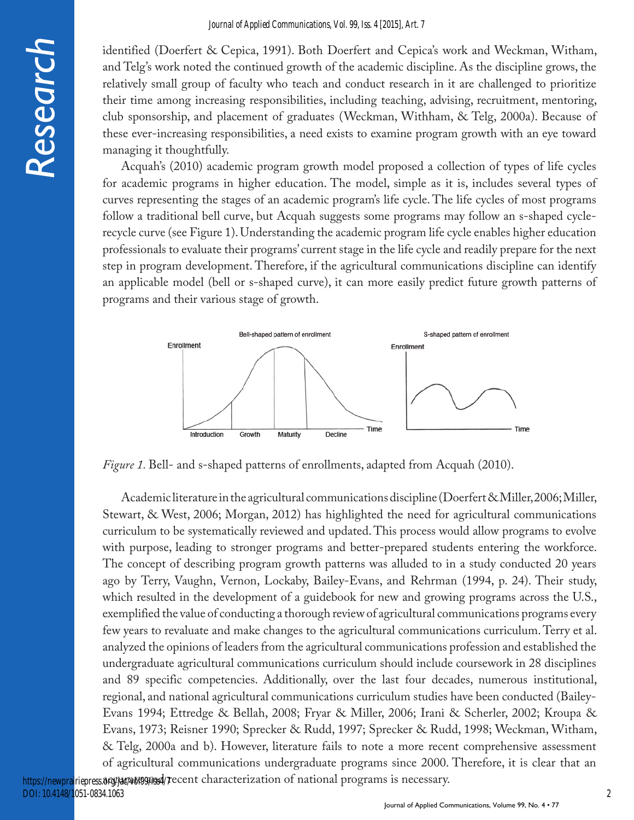*Research*

identified (Doerfert & Cepica, 1991). Both Doerfert and Cepica's work and Weckman, Witham, and Telg's work noted the continued growth of the academic discipline. As the discipline grows, the relatively small group of faculty who teach and conduct research in it are challenged to prioritize their time among increasing responsibilities, including teaching, advising, recruitment, mentoring, club sponsorship, and placement of graduates (Weckman, Withham, & Telg, 2000a). Because of these ever-increasing responsibilities, a need exists to examine program growth with an eye toward managing it thoughtfully.

Acquah's (2010) academic program growth model proposed a collection of types of life cycles for academic programs in higher education. The model, simple as it is, includes several types of curves representing the stages of an academic program's life cycle. The life cycles of most programs follow a traditional bell curve, but Acquah suggests some programs may follow an s-shaped cyclerecycle curve (see Figure 1). Understanding the academic program life cycle enables higher education professionals to evaluate their programs' current stage in the life cycle and readily prepare for the next step in program development. Therefore, if the agricultural communications discipline can identify an applicable model (bell or s-shaped curve), it can more easily predict future growth patterns of programs and their various stage of growth.



*Figure 1.* Bell- and s-shaped patterns of enrollments, adapted from Acquah (2010).

Academic literature in the agricultural communications discipline (Doerfert & Miller, 2006; Miller, Stewart, & West, 2006; Morgan, 2012) has highlighted the need for agricultural communications curriculum to be systematically reviewed and updated. This process would allow programs to evolve with purpose, leading to stronger programs and better-prepared students entering the workforce. The concept of describing program growth patterns was alluded to in a study conducted 20 years ago by Terry, Vaughn, Vernon, Lockaby, Bailey-Evans, and Rehrman (1994, p. 24). Their study, which resulted in the development of a guidebook for new and growing programs across the U.S., exemplified the value of conducting a thorough review of agricultural communications programs every few years to revaluate and make changes to the agricultural communications curriculum. Terry et al. analyzed the opinions of leaders from the agricultural communications profession and established the undergraduate agricultural communications curriculum should include coursework in 28 disciplines and 89 specific competencies. Additionally, over the last four decades, numerous institutional, regional, and national agricultural communications curriculum studies have been conducted (Bailey-Evans 1994; Ettredge & Bellah, 2008; Fryar & Miller, 2006; Irani & Scherler, 2002; Kroupa & Evans, 1973; Reisner 1990; Sprecker & Rudd, 1997; Sprecker & Rudd, 1998; Weckman, Witham, & Telg, 2000a and b). However, literature fails to note a more recent comprehensive assessment of agricultural communications undergraduate programs since 2000. Therefore, it is clear that an https://newprairiepress.8fg/3d/a6t99/issd/7ecent characterization of national programs is necessary.

DOI: 10.4148/1051-0834.1063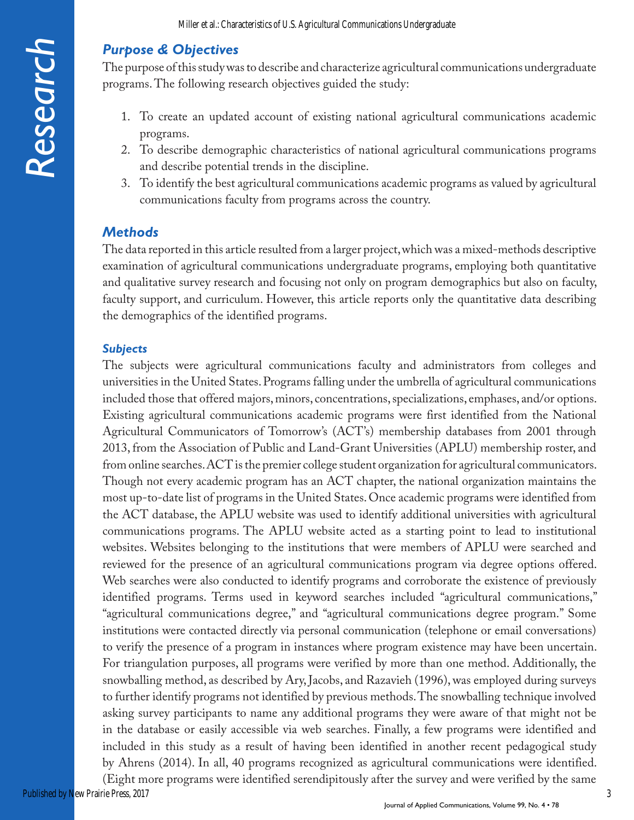## *Purpose & Objectives*

The purpose of this study was to describe and characterize agricultural communications undergraduate programs. The following research objectives guided the study:

- 1. To create an updated account of existing national agricultural communications academic programs.
- 2. To describe demographic characteristics of national agricultural communications programs and describe potential trends in the discipline.
- 3. To identify the best agricultural communications academic programs as valued by agricultural communications faculty from programs across the country.

#### *Methods*

The data reported in this article resulted from a larger project, which was a mixed-methods descriptive examination of agricultural communications undergraduate programs, employing both quantitative and qualitative survey research and focusing not only on program demographics but also on faculty, faculty support, and curriculum. However, this article reports only the quantitative data describing the demographics of the identified programs.

#### *Subjects*

The subjects were agricultural communications faculty and administrators from colleges and universities in the United States. Programs falling under the umbrella of agricultural communications included those that offered majors, minors, concentrations, specializations, emphases, and/or options. Existing agricultural communications academic programs were first identified from the National Agricultural Communicators of Tomorrow's (ACT's) membership databases from 2001 through 2013, from the Association of Public and Land-Grant Universities (APLU) membership roster, and from online searches. ACT is the premier college student organization for agricultural communicators. Though not every academic program has an ACT chapter, the national organization maintains the most up-to-date list of programs in the United States. Once academic programs were identified from the ACT database, the APLU website was used to identify additional universities with agricultural communications programs. The APLU website acted as a starting point to lead to institutional websites. Websites belonging to the institutions that were members of APLU were searched and reviewed for the presence of an agricultural communications program via degree options offered. Web searches were also conducted to identify programs and corroborate the existence of previously identified programs. Terms used in keyword searches included "agricultural communications," "agricultural communications degree," and "agricultural communications degree program." Some institutions were contacted directly via personal communication (telephone or email conversations) to verify the presence of a program in instances where program existence may have been uncertain. For triangulation purposes, all programs were verified by more than one method. Additionally, the snowballing method, as described by Ary, Jacobs, and Razavieh (1996), was employed during surveys to further identify programs not identified by previous methods. The snowballing technique involved asking survey participants to name any additional programs they were aware of that might not be in the database or easily accessible via web searches. Finally, a few programs were identified and included in this study as a result of having been identified in another recent pedagogical study by Ahrens (2014). In all, 40 programs recognized as agricultural communications were identified.

(Eight more programs were identified serendipitously after the survey and were verified by the same Published by New Prairie Press, 2017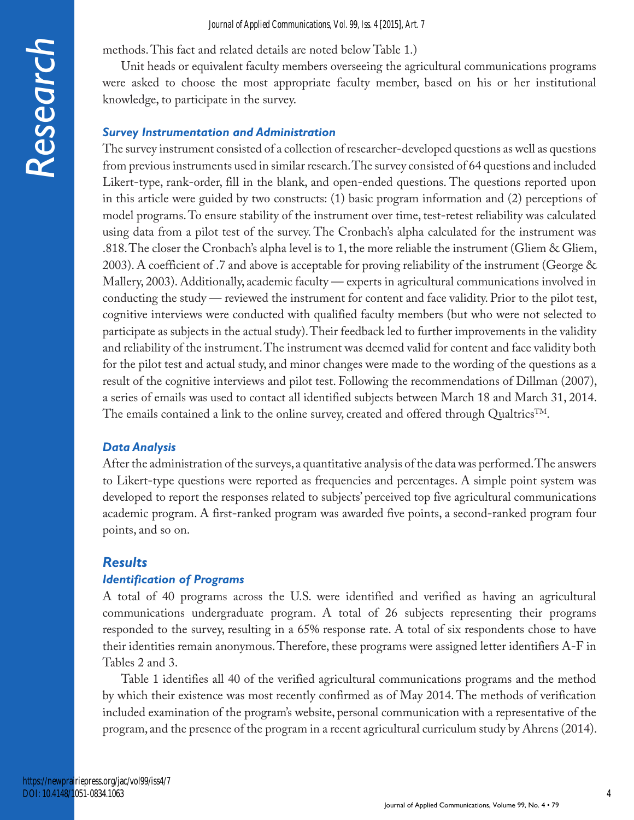methods. This fact and related details are noted below Table 1.)

Unit heads or equivalent faculty members overseeing the agricultural communications programs were asked to choose the most appropriate faculty member, based on his or her institutional knowledge, to participate in the survey.

#### *Survey Instrumentation and Administration*

The survey instrument consisted of a collection of researcher-developed questions as well as questions from previous instruments used in similar research. The survey consisted of 64 questions and included Likert-type, rank-order, fill in the blank, and open-ended questions. The questions reported upon in this article were guided by two constructs: (1) basic program information and (2) perceptions of model programs. To ensure stability of the instrument over time, test-retest reliability was calculated using data from a pilot test of the survey. The Cronbach's alpha calculated for the instrument was .818. The closer the Cronbach's alpha level is to 1, the more reliable the instrument (Gliem & Gliem, 2003). A coefficient of .7 and above is acceptable for proving reliability of the instrument (George & Mallery, 2003). Additionally, academic faculty — experts in agricultural communications involved in conducting the study — reviewed the instrument for content and face validity. Prior to the pilot test, cognitive interviews were conducted with qualified faculty members (but who were not selected to participate as subjects in the actual study). Their feedback led to further improvements in the validity and reliability of the instrument. The instrument was deemed valid for content and face validity both for the pilot test and actual study, and minor changes were made to the wording of the questions as a result of the cognitive interviews and pilot test. Following the recommendations of Dillman (2007), a series of emails was used to contact all identified subjects between March 18 and March 31, 2014. The emails contained a link to the online survey, created and offered through Qualtrics<sup>TM</sup>.

#### *Data Analysis*

After the administration of the surveys, a quantitative analysis of the data was performed. The answers to Likert-type questions were reported as frequencies and percentages. A simple point system was developed to report the responses related to subjects' perceived top five agricultural communications academic program. A first-ranked program was awarded five points, a second-ranked program four points, and so on.

#### *Results*

#### *Identification of Programs*

A total of 40 programs across the U.S. were identified and verified as having an agricultural communications undergraduate program. A total of 26 subjects representing their programs responded to the survey, resulting in a 65% response rate. A total of six respondents chose to have their identities remain anonymous. Therefore, these programs were assigned letter identifiers A-F in Tables 2 and 3.

Table 1 identifies all 40 of the verified agricultural communications programs and the method by which their existence was most recently confirmed as of May 2014. The methods of verification included examination of the program's website, personal communication with a representative of the program, and the presence of the program in a recent agricultural curriculum study by Ahrens (2014).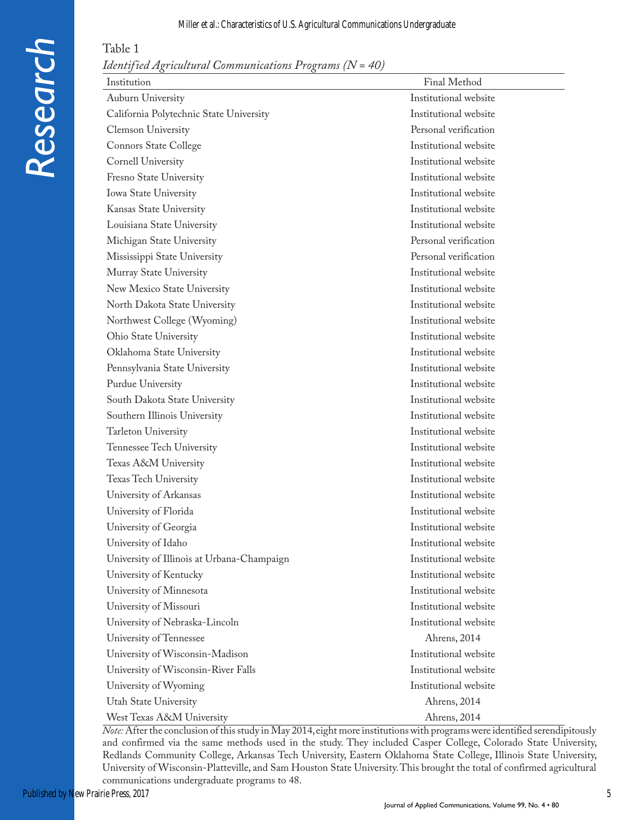#### Miller et al.: Characteristics of U.S. Agricultural Communications Undergraduate

Table 1

| <i>Identified Agricultural Communications Programs (<math>N = 40</math>)</i> |  |  |
|------------------------------------------------------------------------------|--|--|
|                                                                              |  |  |

| Institution                                | Final Method          |
|--------------------------------------------|-----------------------|
| Auburn University                          | Institutional website |
| California Polytechnic State University    | Institutional website |
| Clemson University                         | Personal verification |
| Connors State College                      | Institutional website |
| Cornell University                         | Institutional website |
| Fresno State University                    | Institutional website |
| Iowa State University                      | Institutional website |
| Kansas State University                    | Institutional website |
| Louisiana State University                 | Institutional website |
| Michigan State University                  | Personal verification |
| Mississippi State University               | Personal verification |
| Murray State University                    | Institutional website |
| New Mexico State University                | Institutional website |
| North Dakota State University              | Institutional website |
| Northwest College (Wyoming)                | Institutional website |
| Ohio State University                      | Institutional website |
| Oklahoma State University                  | Institutional website |
| Pennsylvania State University              | Institutional website |
| Purdue University                          | Institutional website |
| South Dakota State University              | Institutional website |
| Southern Illinois University               | Institutional website |
| Tarleton University                        | Institutional website |
| Tennessee Tech University                  | Institutional website |
| Texas A&M University                       | Institutional website |
| Texas Tech University                      | Institutional website |
| University of Arkansas                     | Institutional website |
| University of Florida                      | Institutional website |
| University of Georgia                      | Institutional website |
| University of Idaho                        | Institutional website |
| University of Illinois at Urbana-Champaign | Institutional website |
| University of Kentucky                     | Institutional website |
| University of Minnesota                    | Institutional website |
| University of Missouri                     | Institutional website |
| University of Nebraska-Lincoln             | Institutional website |
| University of Tennessee                    | Ahrens, 2014          |
| University of Wisconsin-Madison            | Institutional website |
| University of Wisconsin-River Falls        | Institutional website |
| University of Wyoming                      | Institutional website |
| Utah State University                      | Ahrens, 2014          |
| West Texas A&M University                  | Ahrens, 2014          |

*Note:* After the conclusion of this study in May 2014, eight more institutions with programs were identified serendipitously and confirmed via the same methods used in the study. They included Casper College, Colorado State University, Redlands Community College, Arkansas Tech University, Eastern Oklahoma State College, Illinois State University, University of Wisconsin-Platteville, and Sam Houston State University. This brought the total of confirmed agricultural communications undergraduate programs to 48.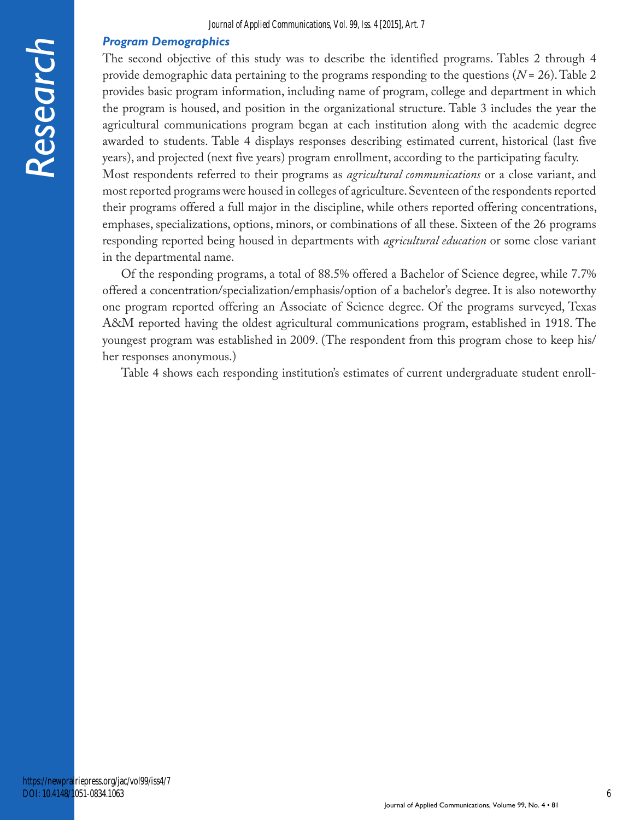#### *Program Demographics*

The second objective of this study was to describe the identified programs. Tables 2 through 4 provide demographic data pertaining to the programs responding to the questions (*N* = 26). Table 2 provides basic program information, including name of program, college and department in which the program is housed, and position in the organizational structure. Table 3 includes the year the agricultural communications program began at each institution along with the academic degree awarded to students. Table 4 displays responses describing estimated current, historical (last five years), and projected (next five years) program enrollment, according to the participating faculty.

Most respondents referred to their programs as *agricultural communications* or a close variant, and most reported programs were housed in colleges of agriculture. Seventeen of the respondents reported their programs offered a full major in the discipline, while others reported offering concentrations, emphases, specializations, options, minors, or combinations of all these. Sixteen of the 26 programs responding reported being housed in departments with *agricultural education* or some close variant in the departmental name.

Of the responding programs, a total of 88.5% offered a Bachelor of Science degree, while 7.7% offered a concentration/specialization/emphasis/option of a bachelor's degree. It is also noteworthy one program reported offering an Associate of Science degree. Of the programs surveyed, Texas A&M reported having the oldest agricultural communications program, established in 1918. The youngest program was established in 2009. (The respondent from this program chose to keep his/ her responses anonymous.)

Table 4 shows each responding institution's estimates of current undergraduate student enroll-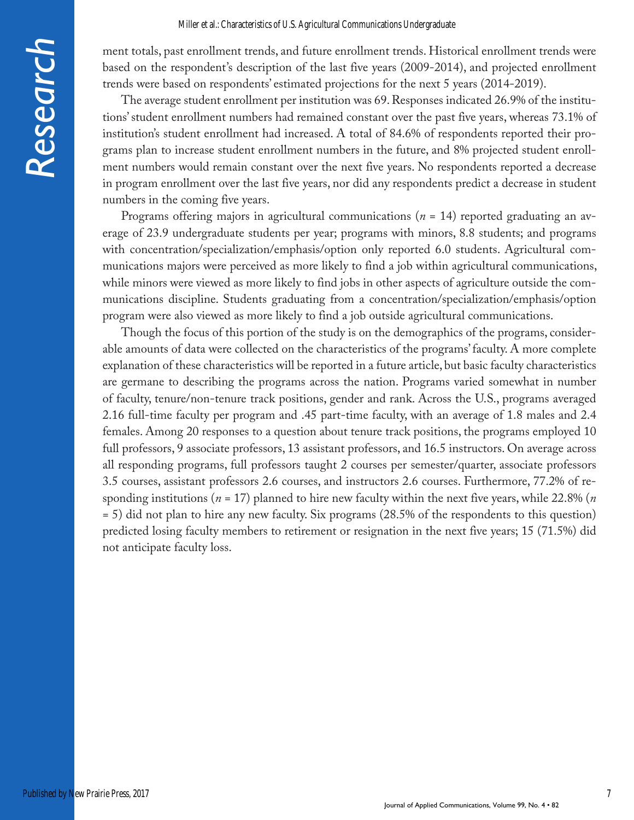ment totals, past enrollment trends, and future enrollment trends. Historical enrollment trends were based on the respondent's description of the last five years (2009-2014), and projected enrollment trends were based on respondents' estimated projections for the next 5 years (2014-2019).

The average student enrollment per institution was 69. Responses indicated 26.9% of the institutions' student enrollment numbers had remained constant over the past five years, whereas 73.1% of institution's student enrollment had increased. A total of 84.6% of respondents reported their programs plan to increase student enrollment numbers in the future, and 8% projected student enrollment numbers would remain constant over the next five years. No respondents reported a decrease in program enrollment over the last five years, nor did any respondents predict a decrease in student numbers in the coming five years.

Programs offering majors in agricultural communications (*n* = 14) reported graduating an average of 23.9 undergraduate students per year; programs with minors, 8.8 students; and programs with concentration/specialization/emphasis/option only reported 6.0 students. Agricultural communications majors were perceived as more likely to find a job within agricultural communications, while minors were viewed as more likely to find jobs in other aspects of agriculture outside the communications discipline. Students graduating from a concentration/specialization/emphasis/option program were also viewed as more likely to find a job outside agricultural communications.

Though the focus of this portion of the study is on the demographics of the programs, considerable amounts of data were collected on the characteristics of the programs' faculty. A more complete explanation of these characteristics will be reported in a future article, but basic faculty characteristics are germane to describing the programs across the nation. Programs varied somewhat in number of faculty, tenure/non-tenure track positions, gender and rank. Across the U.S., programs averaged 2.16 full-time faculty per program and .45 part-time faculty, with an average of 1.8 males and 2.4 females. Among 20 responses to a question about tenure track positions, the programs employed 10 full professors, 9 associate professors, 13 assistant professors, and 16.5 instructors. On average across all responding programs, full professors taught 2 courses per semester/quarter, associate professors 3.5 courses, assistant professors 2.6 courses, and instructors 2.6 courses. Furthermore, 77.2% of responding institutions (*n* = 17) planned to hire new faculty within the next five years, while 22.8% (*n* = 5) did not plan to hire any new faculty. Six programs (28.5% of the respondents to this question) predicted losing faculty members to retirement or resignation in the next five years; 15 (71.5%) did not anticipate faculty loss.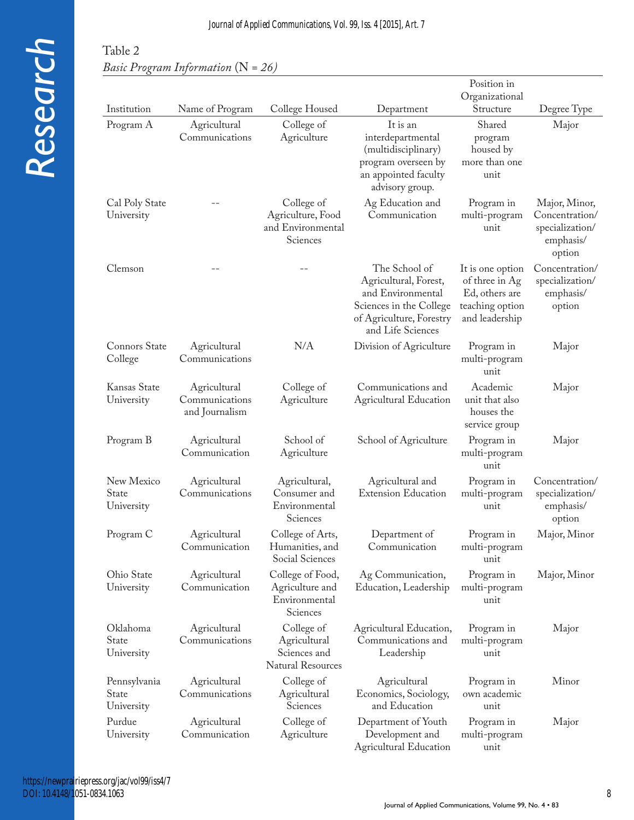# Table 2 *Basic Program Information* (N *= 26)*

|                                     |                                                  |                                                                        |                                                                                                                                         | Position in                                                                               |                                                                           |
|-------------------------------------|--------------------------------------------------|------------------------------------------------------------------------|-----------------------------------------------------------------------------------------------------------------------------------------|-------------------------------------------------------------------------------------------|---------------------------------------------------------------------------|
| Institution                         | Name of Program                                  | College Housed                                                         | Department                                                                                                                              | Organizational<br>Structure                                                               | Degree Type                                                               |
| Program A                           | Agricultural                                     | College of                                                             | It is an                                                                                                                                | Shared                                                                                    | Major                                                                     |
|                                     | Communications                                   | Agriculture                                                            | interdepartmental<br>(multidisciplinary)<br>program overseen by<br>an appointed faculty<br>advisory group.                              | program<br>housed by<br>more than one<br>unit                                             |                                                                           |
| Cal Poly State<br>University        |                                                  | College of<br>Agriculture, Food<br>and Environmental<br>Sciences       | Ag Education and<br>Communication                                                                                                       | Program in<br>multi-program<br>unit                                                       | Major, Minor,<br>Concentration/<br>specialization/<br>emphasis/<br>option |
| Clemson                             |                                                  |                                                                        | The School of<br>Agricultural, Forest,<br>and Environmental<br>Sciences in the College<br>of Agriculture, Forestry<br>and Life Sciences | It is one option<br>of three in Ag<br>Ed, others are<br>teaching option<br>and leadership | Concentration/<br>specialization/<br>emphasis/<br>option                  |
| Connors State<br>College            | Agricultural<br>Communications                   | N/A                                                                    | Division of Agriculture                                                                                                                 | Program in<br>multi-program<br>unit                                                       | Major                                                                     |
| Kansas State<br>University          | Agricultural<br>Communications<br>and Journalism | College of<br>Agriculture                                              | Communications and<br><b>Agricultural Education</b>                                                                                     | Academic<br>unit that also<br>houses the<br>service group                                 | Major                                                                     |
| Program B                           | Agricultural<br>Communication                    | School of<br>Agriculture                                               | School of Agriculture                                                                                                                   | Program in<br>multi-program<br>unit                                                       | Major                                                                     |
| New Mexico<br>State<br>University   | Agricultural<br>Communications                   | Agricultural,<br>Consumer and<br>Environmental<br>Sciences             | Agricultural and<br><b>Extension Education</b>                                                                                          | Program in<br>multi-program<br>unit                                                       | Concentration/<br>specialization/<br>emphasis/<br>option                  |
| Program C                           | Agricultural<br>Communication                    | College of Arts,<br>Humanities, and<br>Social Sciences                 | Department of<br>Communication                                                                                                          | Program in<br>multi-program<br>unit                                                       | Major, Minor                                                              |
| Ohio State<br>University            | Agricultural<br>Communication                    | College of Food,<br>Agriculture and<br>Environmental<br>Sciences       | Ag Communication,<br>Education, Leadership                                                                                              | Program in<br>multi-program<br>unit                                                       | Major, Minor                                                              |
| Oklahoma<br>State<br>University     | Agricultural<br>Communications                   | College of<br>Agricultural<br>Sciences and<br><b>Natural Resources</b> | Agricultural Education,<br>Communications and<br>Leadership                                                                             | Program in<br>multi-program<br>unit                                                       | Major                                                                     |
| Pennsylvania<br>State<br>University | Agricultural<br>Communications                   | College of<br>Agricultural<br>Sciences                                 | Agricultural<br>Economics, Sociology,<br>and Education                                                                                  | Program in<br>own academic<br>unit                                                        | Minor                                                                     |
| Purdue<br>University                | Agricultural<br>Communication                    | College of<br>Agriculture                                              | Department of Youth<br>Development and<br><b>Agricultural Education</b>                                                                 | Program in<br>multi-program<br>unit                                                       | Major                                                                     |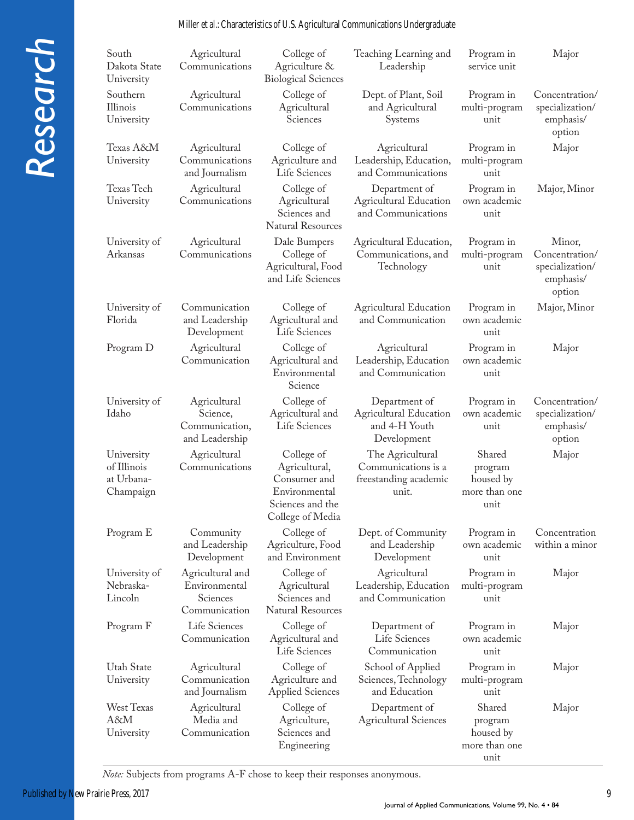#### Miller et al.: Characteristics of U.S. Agricultural Communications Undergraduate

| South<br>Dakota State<br>University                  | Agricultural<br>Communications                                 | College of<br>Agriculture &<br><b>Biological Sciences</b>                                            | Teaching Learning and<br>Leadership                                            | Program in<br>service unit                              | Major                                                              |
|------------------------------------------------------|----------------------------------------------------------------|------------------------------------------------------------------------------------------------------|--------------------------------------------------------------------------------|---------------------------------------------------------|--------------------------------------------------------------------|
| Southern<br>Illinois<br>University                   | Agricultural<br>Communications                                 | College of<br>Agricultural<br>Sciences                                                               | Dept. of Plant, Soil<br>and Agricultural<br>Systems                            | Program in<br>multi-program<br>unit                     | Concentration/<br>specialization/<br>emphasis/<br>option           |
| Texas A&M<br>University                              | Agricultural<br>Communications<br>and Journalism               | College of<br>Agriculture and<br>Life Sciences                                                       | Agricultural<br>Leadership, Education,<br>and Communications                   | Program in<br>multi-program<br>unit                     | Major                                                              |
| Texas Tech<br>University                             | Agricultural<br>Communications                                 | College of<br>Agricultural<br>Sciences and<br><b>Natural Resources</b>                               | Department of<br><b>Agricultural Education</b><br>and Communications           | Program in<br>own academic<br>unit                      | Major, Minor                                                       |
| University of<br>Arkansas                            | Agricultural<br>Communications                                 | Dale Bumpers<br>College of<br>Agricultural, Food<br>and Life Sciences                                | Agricultural Education,<br>Communications, and<br>Technology                   | Program in<br>multi-program<br>unit                     | Minor,<br>Concentration/<br>specialization/<br>emphasis/<br>option |
| University of<br>Florida                             | Communication<br>and Leadership<br>Development                 | College of<br>Agricultural and<br>Life Sciences                                                      | <b>Agricultural Education</b><br>and Communication                             | Program in<br>own academic<br>unit                      | Major, Minor                                                       |
| Program D                                            | Agricultural<br>Communication                                  | College of<br>Agricultural and<br>Environmental<br>Science                                           | Agricultural<br>Leadership, Education<br>and Communication                     | Program in<br>own academic<br>unit                      | Major                                                              |
| University of<br>Idaho                               | Agricultural<br>Science,<br>Communication,<br>and Leadership   | College of<br>Agricultural and<br>Life Sciences                                                      | Department of<br><b>Agricultural Education</b><br>and 4-H Youth<br>Development | Program in<br>own academic<br>unit                      | Concentration/<br>specialization/<br>emphasis/<br>option           |
| University<br>of Illinois<br>at Urbana-<br>Champaign | Agricultural<br>Communications                                 | College of<br>Agricultural,<br>Consumer and<br>Environmental<br>Sciences and the<br>College of Media | The Agricultural<br>Communications is a<br>freestanding academic<br>unit.      | Shared<br>program<br>housed by<br>more than one<br>unit | Major                                                              |
| Program E                                            | Community<br>and Leadership<br>Development                     | College of<br>Agriculture, Food<br>and Environment                                                   | Dept. of Community<br>and Leadership<br>Development                            | Program in<br>own academic<br>unit                      | Concentration<br>within a minor                                    |
| University of<br>Nebraska-<br>Lincoln                | Agricultural and<br>Environmental<br>Sciences<br>Communication | College of<br>Agricultural<br>Sciences and<br><b>Natural Resources</b>                               | Agricultural<br>Leadership, Education<br>and Communication                     | Program in<br>multi-program<br>unit                     | Major                                                              |
| Program F                                            | Life Sciences<br>Communication                                 | College of<br>Agricultural and<br>Life Sciences                                                      | Department of<br>Life Sciences<br>Communication                                | Program in<br>own academic<br>unit                      | Major                                                              |
| <b>Utah State</b><br>University                      | Agricultural<br>Communication<br>and Journalism                | College of<br>Agriculture and<br><b>Applied Sciences</b>                                             | School of Applied<br>Sciences, Technology<br>and Education                     | Program in<br>multi-program<br>unit                     | Major                                                              |
| <b>West Texas</b><br>A&M<br>University               | Agricultural<br>Media and<br>Communication                     | College of<br>Agriculture,<br>Sciences and<br>Engineering                                            | Department of<br><b>Agricultural Sciences</b>                                  | Shared<br>program<br>housed by<br>more than one<br>unit | Major                                                              |

*Note:* Subjects from programs A-F chose to keep their responses anonymous.

*Research*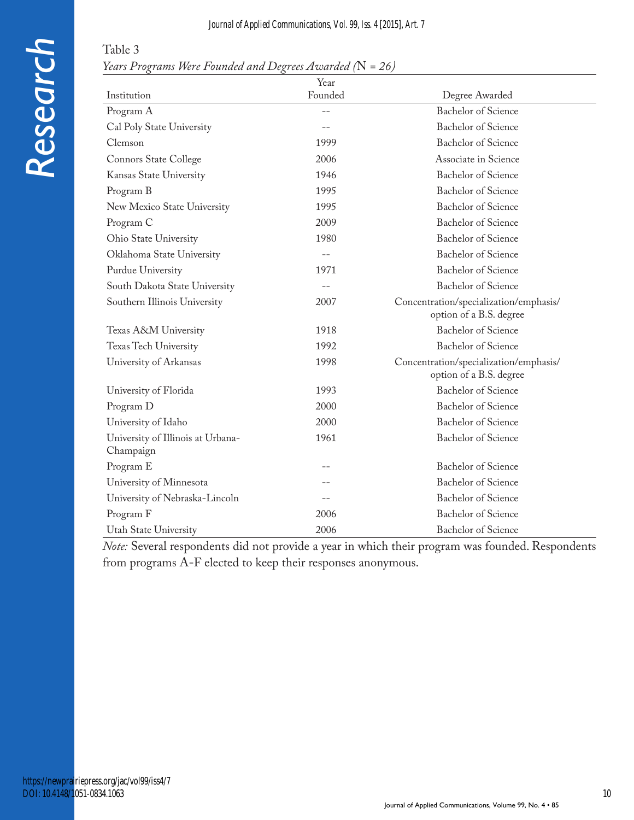# *Research*

| Table 3                                                    |  |
|------------------------------------------------------------|--|
| Years Programs Were Founded and Degrees Awarded $(N = 26)$ |  |

|                                                | Year    |                                                                   |
|------------------------------------------------|---------|-------------------------------------------------------------------|
| Institution                                    | Founded | Degree Awarded                                                    |
| Program A                                      | $-$     | <b>Bachelor</b> of Science                                        |
| Cal Poly State University                      |         | <b>Bachelor</b> of Science                                        |
| Clemson                                        | 1999    | <b>Bachelor</b> of Science                                        |
| Connors State College                          | 2006    | Associate in Science                                              |
| Kansas State University                        | 1946    | Bachelor of Science                                               |
| Program B                                      | 1995    | Bachelor of Science                                               |
| New Mexico State University                    | 1995    | <b>Bachelor</b> of Science                                        |
| Program C                                      | 2009    | <b>Bachelor</b> of Science                                        |
| Ohio State University                          | 1980    | <b>Bachelor</b> of Science                                        |
| Oklahoma State University                      | $-$     | Bachelor of Science                                               |
| Purdue University                              | 1971    | <b>Bachelor</b> of Science                                        |
| South Dakota State University                  |         | <b>Bachelor</b> of Science                                        |
| Southern Illinois University                   | 2007    | Concentration/specialization/emphasis/<br>option of a B.S. degree |
| Texas A&M University                           | 1918    | <b>Bachelor</b> of Science                                        |
| Texas Tech University                          | 1992    | <b>Bachelor</b> of Science                                        |
| University of Arkansas                         | 1998    | Concentration/specialization/emphasis/<br>option of a B.S. degree |
| University of Florida                          | 1993    | Bachelor of Science                                               |
| Program D                                      | 2000    | <b>Bachelor</b> of Science                                        |
| University of Idaho                            | 2000    | Bachelor of Science                                               |
| University of Illinois at Urbana-<br>Champaign | 1961    | <b>Bachelor</b> of Science                                        |
| Program E                                      |         | Bachelor of Science                                               |
| University of Minnesota                        |         | Bachelor of Science                                               |
| University of Nebraska-Lincoln                 |         | <b>Bachelor</b> of Science                                        |
| Program F                                      | 2006    | <b>Bachelor</b> of Science                                        |
| Utah State University                          | 2006    | <b>Bachelor</b> of Science                                        |

*Note:* Several respondents did not provide a year in which their program was founded. Respondents from programs A-F elected to keep their responses anonymous.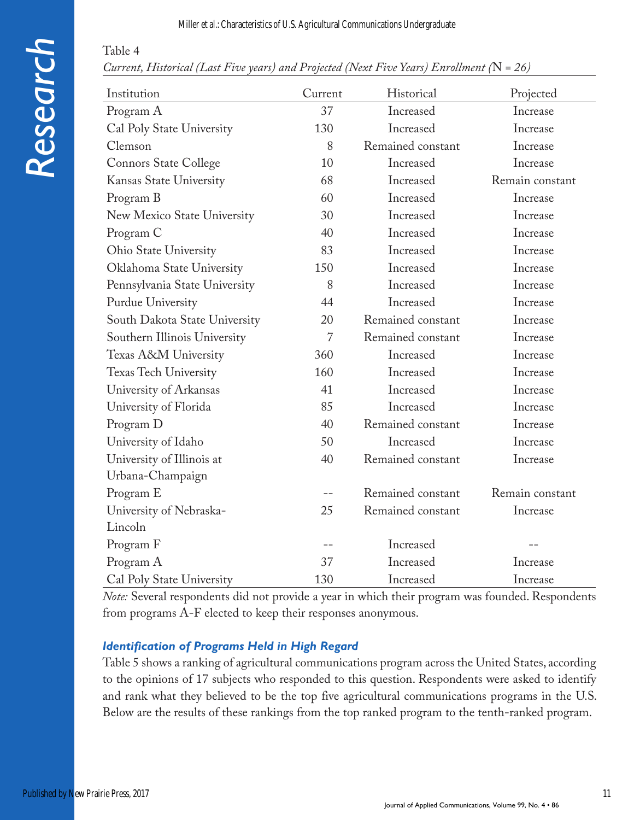#### Miller et al.: Characteristics of U.S. Agricultural Communications Undergraduate

# *Research*

Table 4

| Current, Historical (Last Five years) and Projected (Next Five Years) Enrollment ( $N = 26$ ) |  |  |  |
|-----------------------------------------------------------------------------------------------|--|--|--|
|-----------------------------------------------------------------------------------------------|--|--|--|

| Institution                   | Current        | Historical        | Projected       |
|-------------------------------|----------------|-------------------|-----------------|
| Program A                     | 37             | Increased         | Increase        |
| Cal Poly State University     | 130            | Increased         | Increase        |
| Clemson                       | 8              | Remained constant | Increase        |
| <b>Connors State College</b>  | 10             | Increased         | Increase        |
| Kansas State University       | 68             | Increased         | Remain constant |
| Program B                     | 60             | Increased         | Increase        |
| New Mexico State University   | 30             | Increased         | Increase        |
| Program C                     | 40             | Increased         | Increase        |
| Ohio State University         | 83             | Increased         | Increase        |
| Oklahoma State University     | 150            | Increased         | Increase        |
| Pennsylvania State University | 8              | Increased         | Increase        |
| Purdue University             | 44             | Increased         | Increase        |
| South Dakota State University | 20             | Remained constant | Increase        |
| Southern Illinois University  | $\overline{7}$ | Remained constant | Increase        |
| Texas A&M University          | 360            | Increased         | Increase        |
| Texas Tech University         | 160            | Increased         | Increase        |
| University of Arkansas        | 41             | Increased         | Increase        |
| University of Florida         | 85             | Increased         | Increase        |
| Program D                     | 40             | Remained constant | Increase        |
| University of Idaho           | 50             | Increased         | Increase        |
| University of Illinois at     | 40             | Remained constant | Increase        |
| Urbana-Champaign              |                |                   |                 |
| Program E                     |                | Remained constant | Remain constant |
| University of Nebraska-       | 25             | Remained constant | Increase        |
| Lincoln                       |                |                   |                 |
| Program F                     |                | Increased         |                 |
| Program A                     | 37             | Increased         | Increase        |
| Cal Poly State University     | 130            | Increased         | Increase        |

*Note:* Several respondents did not provide a year in which their program was founded. Respondents from programs A-F elected to keep their responses anonymous.

#### *Identification of Programs Held in High Regard*

Table 5 shows a ranking of agricultural communications program across the United States, according to the opinions of 17 subjects who responded to this question. Respondents were asked to identify and rank what they believed to be the top five agricultural communications programs in the U.S. Below are the results of these rankings from the top ranked program to the tenth-ranked program.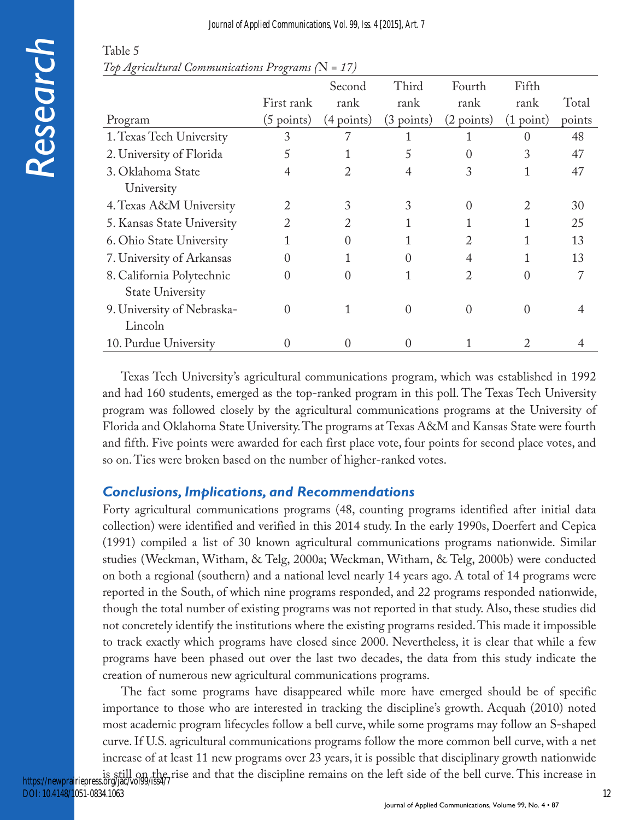| e F              |
|------------------|
|                  |
|                  |
| $\blacksquare$   |
| D)               |
| $\boldsymbol{C}$ |
| ( D              |
| 'n<br>O<br>L     |
|                  |

| Table 5                                               |  |
|-------------------------------------------------------|--|
| Top Agricultural Communications Programs ( $N = 17$ ) |  |

|                            |                      | Second               | Third                | Fourth                      | Fifth            |        |
|----------------------------|----------------------|----------------------|----------------------|-----------------------------|------------------|--------|
|                            | First rank           | rank                 | rank                 | rank                        | rank             | Total  |
| Program                    | $(5 \text{ points})$ | $(4 \text{ points})$ | $(3 \text{ points})$ | (2 points)                  | (1 point)        | points |
| 1. Texas Tech University   | 3                    |                      |                      |                             | $\left( \right)$ | 48     |
| 2. University of Florida   |                      |                      |                      |                             | 3                | 47     |
| 3. Oklahoma State          | 4                    | 2                    | 4                    | 3                           | 1                | 47     |
| University                 |                      |                      |                      |                             |                  |        |
| 4. Texas A&M University    |                      |                      |                      |                             |                  | 30     |
| 5. Kansas State University | 2                    |                      |                      |                             |                  | 25     |
| 6. Ohio State University   |                      |                      |                      | $\mathcal{D}_{\mathcal{L}}$ |                  | 13     |
| 7. University of Arkansas  |                      |                      |                      | 4                           |                  | 13     |
| 8. California Polytechnic  | $\Omega$             | 0                    |                      | 2                           |                  |        |
| <b>State University</b>    |                      |                      |                      |                             |                  |        |
| 9. University of Nebraska- | $\mathbf{\Omega}$    |                      | O                    |                             |                  |        |
| Lincoln                    |                      |                      |                      |                             |                  |        |
| 10. Purdue University      |                      |                      |                      |                             |                  |        |

Texas Tech University's agricultural communications program, which was established in 1992 and had 160 students, emerged as the top-ranked program in this poll. The Texas Tech University program was followed closely by the agricultural communications programs at the University of Florida and Oklahoma State University. The programs at Texas A&M and Kansas State were fourth and fifth. Five points were awarded for each first place vote, four points for second place votes, and so on. Ties were broken based on the number of higher-ranked votes.

## *Conclusions, Implications, and Recommendations*

Forty agricultural communications programs (48, counting programs identified after initial data collection) were identified and verified in this 2014 study. In the early 1990s, Doerfert and Cepica (1991) compiled a list of 30 known agricultural communications programs nationwide. Similar studies (Weckman, Witham, & Telg, 2000a; Weckman, Witham, & Telg, 2000b) were conducted on both a regional (southern) and a national level nearly 14 years ago. A total of 14 programs were reported in the South, of which nine programs responded, and 22 programs responded nationwide, though the total number of existing programs was not reported in that study. Also, these studies did not concretely identify the institutions where the existing programs resided. This made it impossible to track exactly which programs have closed since 2000. Nevertheless, it is clear that while a few programs have been phased out over the last two decades, the data from this study indicate the creation of numerous new agricultural communications programs.

The fact some programs have disappeared while more have emerged should be of specific importance to those who are interested in tracking the discipline's growth. Acquah (2010) noted most academic program lifecycles follow a bell curve, while some programs may follow an S-shaped curve. If U.S. agricultural communications programs follow the more common bell curve, with a net increase of at least 11 new programs over 23 years, it is possible that disciplinary growth nationwide

is still on the rise and that the discipline remains on the left side of the bell curve. This increase in https://newprairiepress.org/jac/vol99/iss4/7 DOI: 10.4148/1051-0834.1063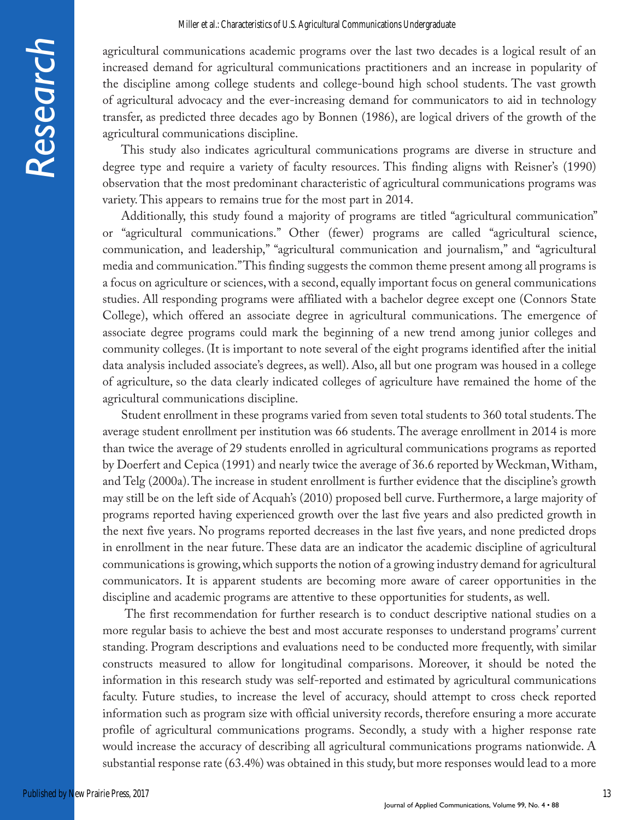agricultural communications academic programs over the last two decades is a logical result of an increased demand for agricultural communications practitioners and an increase in popularity of the discipline among college students and college-bound high school students. The vast growth of agricultural advocacy and the ever-increasing demand for communicators to aid in technology transfer, as predicted three decades ago by Bonnen (1986), are logical drivers of the growth of the agricultural communications discipline.

This study also indicates agricultural communications programs are diverse in structure and degree type and require a variety of faculty resources. This finding aligns with Reisner's (1990) observation that the most predominant characteristic of agricultural communications programs was variety. This appears to remains true for the most part in 2014.

Additionally, this study found a majority of programs are titled "agricultural communication" or "agricultural communications." Other (fewer) programs are called "agricultural science, communication, and leadership," "agricultural communication and journalism," and "agricultural media and communication." This finding suggests the common theme present among all programs is a focus on agriculture or sciences, with a second, equally important focus on general communications studies. All responding programs were affiliated with a bachelor degree except one (Connors State College), which offered an associate degree in agricultural communications. The emergence of associate degree programs could mark the beginning of a new trend among junior colleges and community colleges. (It is important to note several of the eight programs identified after the initial data analysis included associate's degrees, as well). Also, all but one program was housed in a college of agriculture, so the data clearly indicated colleges of agriculture have remained the home of the agricultural communications discipline.

Student enrollment in these programs varied from seven total students to 360 total students. The average student enrollment per institution was 66 students. The average enrollment in 2014 is more than twice the average of 29 students enrolled in agricultural communications programs as reported by Doerfert and Cepica (1991) and nearly twice the average of 36.6 reported by Weckman, Witham, and Telg (2000a). The increase in student enrollment is further evidence that the discipline's growth may still be on the left side of Acquah's (2010) proposed bell curve. Furthermore, a large majority of programs reported having experienced growth over the last five years and also predicted growth in the next five years. No programs reported decreases in the last five years, and none predicted drops in enrollment in the near future. These data are an indicator the academic discipline of agricultural communications is growing, which supports the notion of a growing industry demand for agricultural communicators. It is apparent students are becoming more aware of career opportunities in the discipline and academic programs are attentive to these opportunities for students, as well.

 The first recommendation for further research is to conduct descriptive national studies on a more regular basis to achieve the best and most accurate responses to understand programs' current standing. Program descriptions and evaluations need to be conducted more frequently, with similar constructs measured to allow for longitudinal comparisons. Moreover, it should be noted the information in this research study was self-reported and estimated by agricultural communications faculty. Future studies, to increase the level of accuracy, should attempt to cross check reported information such as program size with official university records, therefore ensuring a more accurate profile of agricultural communications programs. Secondly, a study with a higher response rate would increase the accuracy of describing all agricultural communications programs nationwide. A substantial response rate (63.4%) was obtained in this study, but more responses would lead to a more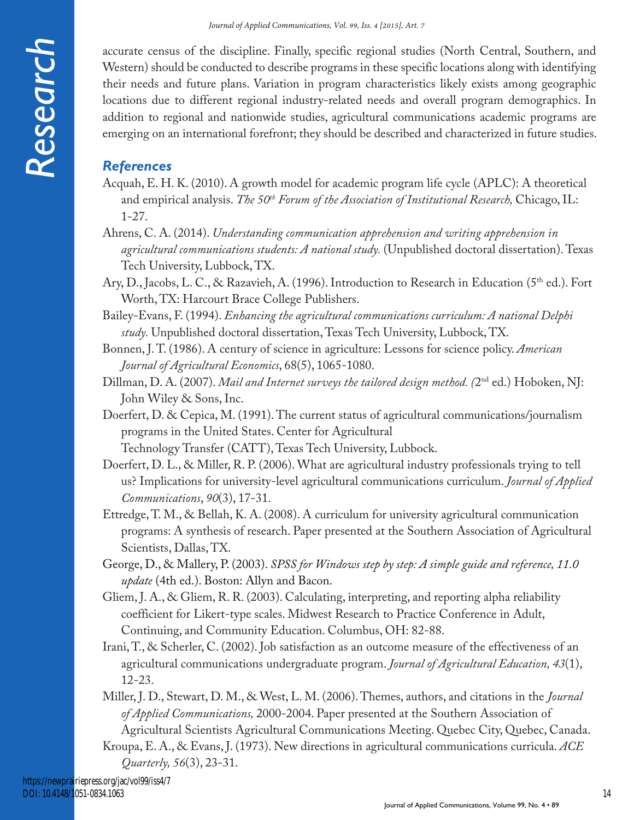accurate census of the discipline. Finally, specific regional studies (North Central, Southern, and Western) should be conducted to describe programs in these specific locations along with identifying their needs and future plans. Variation in program characteristics likely exists among geographic locations due to different regional industry-related needs and overall program demographics. In addition to regional and nationwide studies, agricultural communications academic programs are emerging on an international forefront; they should be described and characterized in future studies.

# *References*

- Acquah, E. H. K. (2010). A growth model for academic program life cycle (APLC): A theoretical and empirical analysis. *The 50<sup>th</sup> Forum of the Association of Institutional Research*, Chicago, IL: 1-27.
- Ahrens, C. A. (2014). *Understanding communication apprehension and writing apprehension in agricultural communications students: A national study.* (Unpublished doctoral dissertation). Texas Tech University, Lubbock, TX.
- Ary, D., Jacobs, L. C., & Razavieh, A. (1996). Introduction to Research in Education (5<sup>th</sup> ed.). Fort Worth, TX: Harcourt Brace College Publishers.
- Bailey-Evans, F. (1994). *Enhancing the agricultural communications curriculum: A national Delphi study.* Unpublished doctoral dissertation, Texas Tech University, Lubbock, TX.
- Bonnen, J. T. (1986). A century of science in agriculture: Lessons for science policy. *American Journal of Agricultural Economics*, 68(5), 1065-1080.
- Dillman, D. A. (2007). *Mail and Internet surveys the tailored design method. (*2nd ed.) Hoboken, NJ: John Wiley & Sons, Inc.
- Doerfert, D. & Cepica, M. (1991). The current status of agricultural communications/journalism programs in the United States. Center for Agricultural Technology Transfer (CATT), Texas Tech University, Lubbock.
- Doerfert, D. L., & Miller, R. P. (2006). What are agricultural industry professionals trying to tell us? Implications for university-level agricultural communications curriculum. *Journal of Applied Communications*, *90*(3), 17-31.
- Ettredge, T. M., & Bellah, K. A. (2008). A curriculum for university agricultural communication programs: A synthesis of research. Paper presented at the Southern Association of Agricultural Scientists, Dallas, TX.
- George, D., & Mallery, P. (2003). *SPSS for Windows step by step: A simple guide and reference, 11.0 update* (4th ed.). Boston: Allyn and Bacon.
- Gliem, J. A., & Gliem, R. R. (2003). Calculating, interpreting, and reporting alpha reliability coefficient for Likert-type scales. Midwest Research to Practice Conference in Adult, Continuing, and Community Education. Columbus, OH: 82-88.
- Irani, T., & Scherler, C. (2002). Job satisfaction as an outcome measure of the effectiveness of an agricultural communications undergraduate program. *Journal of Agricultural Education, 43*(1), 12-23.
- Miller, J. D., Stewart, D. M., & West, L. M. (2006). Themes, authors, and citations in the *Journal of Applied Communications,* 2000-2004. Paper presented at the Southern Association of Agricultural Scientists Agricultural Communications Meeting. Quebec City, Quebec, Canada.
- Kroupa, E. A., & Evans, J. (1973). New directions in agricultural communications curricula. *ACE Quarterly, 56*(3), 23-31.